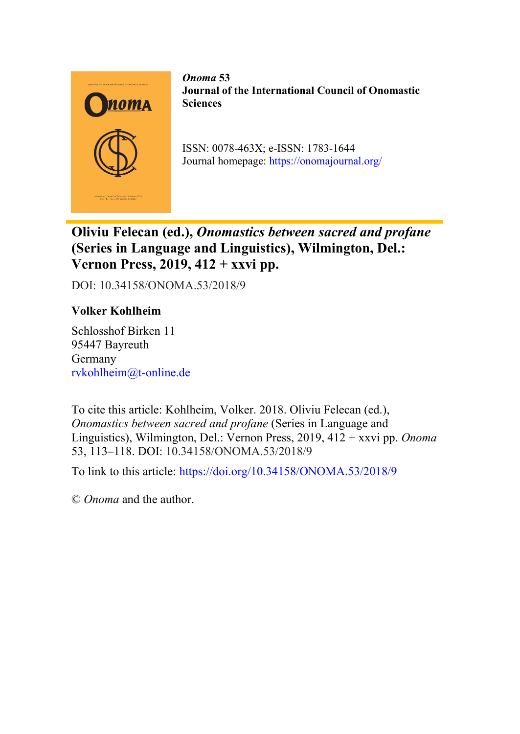

*Onoma* **53 Journal of the International Council of Onomastic Sciences**

ISSN: 0078-463X; e-ISSN: 1783-1644 Journal homepage:<https://onomajournal.org/>

**Oliviu Felecan (ed.),** *Onomastics between sacred and profane* **(Series in Language and Linguistics), Wilmington, Del.: Vernon Press, 2019, 412 + xxvi pp.**

DOI: 10.34158/ONOMA.53/2018/9

## **Volker Kohlheim**

Schlosshof Birken 11 95447 Bayreuth Germany [rvkohlheim@t-online.de](mailto:rvkohlheim@t-online.de)

To cite this article: Kohlheim, Volker. 2018. Oliviu Felecan (ed.), *Onomastics between sacred and profane* (Series in Language and Linguistics), Wilmington, Del.: Vernon Press, 2019, 412 + xxvi pp. *Onoma* 53, 113–118. DOI: 10.34158/ONOMA.53/2018/9

To link to this article:<https://doi.org/10.34158/ONOMA.53/2018/9>

© *Onoma* and the author.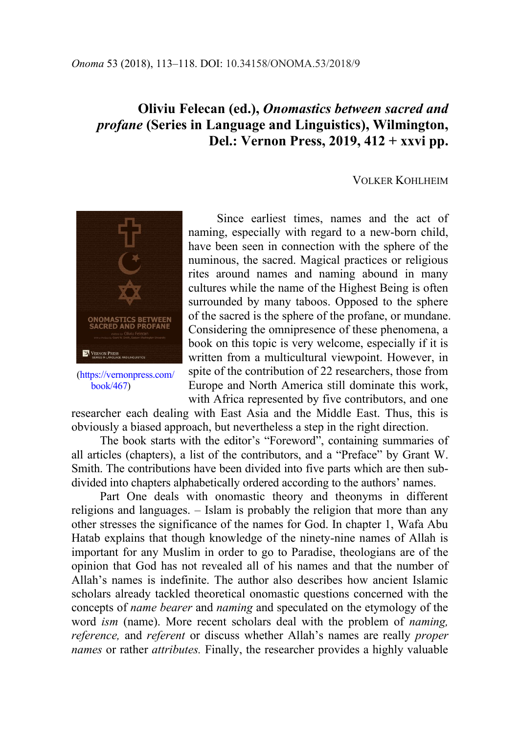## **Oliviu Felecan (ed.),** *Onomastics between sacred and profane* **(Series in Language and Linguistics), Wilmington, Del.: Vernon Press, 2019, 412 + xxvi pp.**

## VOLKER KOHLHEIM



[\(https://vernonpress.com/](https://vernonpress.com/book/467) [book/467\)](https://vernonpress.com/book/467)

Since earliest times, names and the act of naming, especially with regard to a new-born child, have been seen in connection with the sphere of the numinous, the sacred. Magical practices or religious rites around names and naming abound in many cultures while the name of the Highest Being is often surrounded by many taboos. Opposed to the sphere of the sacred is the sphere of the profane, or mundane. Considering the omnipresence of these phenomena, a book on this topic is very welcome, especially if it is written from a multicultural viewpoint. However, in spite of the contribution of 22 researchers, those from Europe and North America still dominate this work, with Africa represented by five contributors, and one

researcher each dealing with East Asia and the Middle East. Thus, this is obviously a biased approach, but nevertheless a step in the right direction.

The book starts with the editor's "Foreword", containing summaries of all articles (chapters), a list of the contributors, and a "Preface" by Grant W. Smith. The contributions have been divided into five parts which are then subdivided into chapters alphabetically ordered according to the authors' names.

Part One deals with onomastic theory and theonyms in different religions and languages. – Islam is probably the religion that more than any other stresses the significance of the names for God. In chapter 1, Wafa Abu Hatab explains that though knowledge of the ninety-nine names of Allah is important for any Muslim in order to go to Paradise, theologians are of the opinion that God has not revealed all of his names and that the number of Allah's names is indefinite. The author also describes how ancient Islamic scholars already tackled theoretical onomastic questions concerned with the concepts of *name bearer* and *naming* and speculated on the etymology of the word *ism* (name). More recent scholars deal with the problem of *naming, reference,* and *referent* or discuss whether Allah's names are really *proper names* or rather *attributes.* Finally, the researcher provides a highly valuable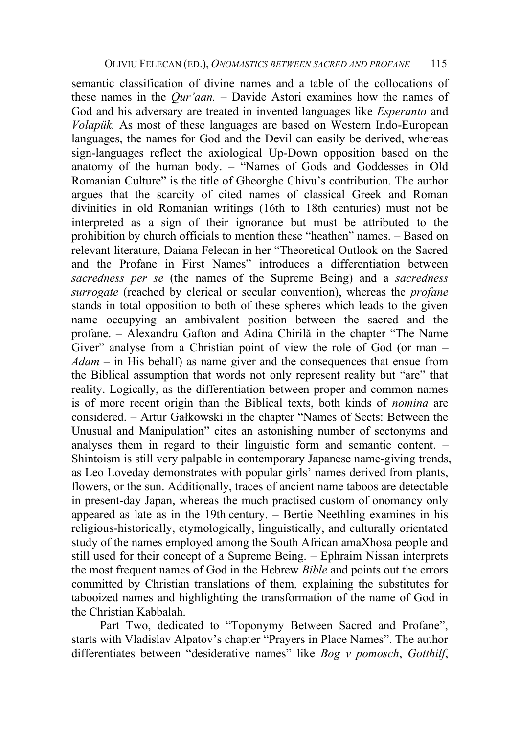semantic classification of divine names and a table of the collocations of these names in the *Qur'aan. –* Davide Astori examines how the names of God and his adversary are treated in invented languages like *Esperanto* and *Volapük.* As most of these languages are based on Western Indo-European languages, the names for God and the Devil can easily be derived, whereas sign-languages reflect the axiological Up-Down opposition based on the anatomy of the human body. – "Names of Gods and Goddesses in Old Romanian Culture" is the title of Gheorghe Chivu's contribution. The author argues that the scarcity of cited names of classical Greek and Roman divinities in old Romanian writings (16th to 18th centuries) must not be interpreted as a sign of their ignorance but must be attributed to the prohibition by church officials to mention these "heathen" names. – Based on relevant literature, Daiana Felecan in her "Theoretical Outlook on the Sacred and the Profane in First Names" introduces a differentiation between *sacredness per se* (the names of the Supreme Being) and a *sacredness surrogate* (reached by clerical or secular convention), whereas the *profane*  stands in total opposition to both of these spheres which leads to the given name occupying an ambivalent position between the sacred and the profane. – Alexandru Gafton and Adina Chirilă in the chapter "The Name Giver" analyse from a Christian point of view the role of God (or man – *Adam –* in His behalf) as name giver and the consequences that ensue from the Biblical assumption that words not only represent reality but "are" that reality. Logically, as the differentiation between proper and common names is of more recent origin than the Biblical texts, both kinds of *nomina* are considered. – Artur Gałkowski in the chapter "Names of Sects: Between the Unusual and Manipulation" cites an astonishing number of sectonyms and analyses them in regard to their linguistic form and semantic content. – Shintoism is still very palpable in contemporary Japanese name-giving trends, as Leo Loveday demonstrates with popular girls' names derived from plants, flowers, or the sun. Additionally, traces of ancient name taboos are detectable in present-day Japan, whereas the much practised custom of onomancy only appeared as late as in the 19th century. – Bertie Neethling examines in his religious-historically, etymologically, linguistically, and culturally orientated study of the names employed among the South African amaXhosa people and still used for their concept of a Supreme Being. – Ephraim Nissan interprets the most frequent names of God in the Hebrew *Bible* and points out the errors committed by Christian translations of them*,* explaining the substitutes for tabooized names and highlighting the transformation of the name of God in the Christian Kabbalah.

Part Two, dedicated to "Toponymy Between Sacred and Profane", starts with Vladislav Alpatov's chapter "Prayers in Place Names". The author differentiates between "desiderative names" like *Bog v pomosch*, *Gotthilf*,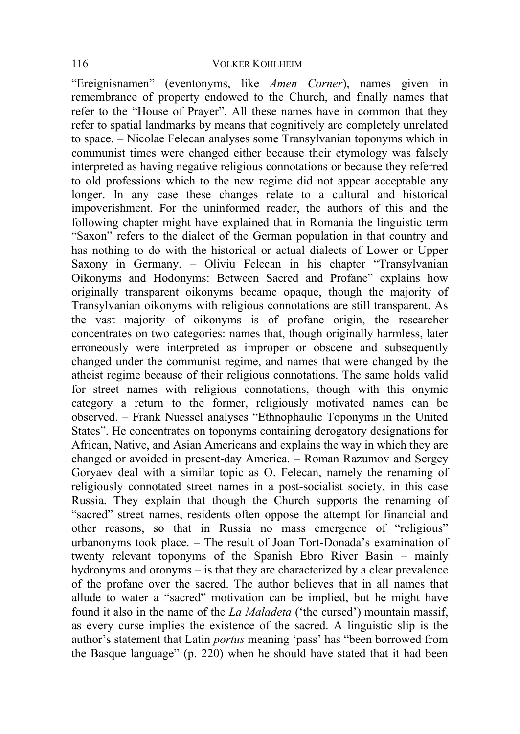"Ereignisnamen" (eventonyms, like *Amen Corner*), names given in remembrance of property endowed to the Church, and finally names that refer to the "House of Prayer". All these names have in common that they refer to spatial landmarks by means that cognitively are completely unrelated to space. – Nicolae Felecan analyses some Transylvanian toponyms which in communist times were changed either because their etymology was falsely interpreted as having negative religious connotations or because they referred to old professions which to the new regime did not appear acceptable any longer. In any case these changes relate to a cultural and historical impoverishment. For the uninformed reader, the authors of this and the following chapter might have explained that in Romania the linguistic term "Saxon" refers to the dialect of the German population in that country and has nothing to do with the historical or actual dialects of Lower or Upper Saxony in Germany. – Oliviu Felecan in his chapter "Transylvanian Oikonyms and Hodonyms: Between Sacred and Profane" explains how originally transparent oikonyms became opaque, though the majority of Transylvanian oikonyms with religious connotations are still transparent. As the vast majority of oikonyms is of profane origin, the researcher concentrates on two categories: names that, though originally harmless, later erroneously were interpreted as improper or obscene and subsequently changed under the communist regime, and names that were changed by the atheist regime because of their religious connotations. The same holds valid for street names with religious connotations, though with this onymic category a return to the former, religiously motivated names can be observed. – Frank Nuessel analyses "Ethnophaulic Toponyms in the United States". He concentrates on toponyms containing derogatory designations for African, Native, and Asian Americans and explains the way in which they are changed or avoided in present-day America. – Roman Razumov and Sergey Goryaev deal with a similar topic as O. Felecan, namely the renaming of religiously connotated street names in a post-socialist society, in this case Russia. They explain that though the Church supports the renaming of "sacred" street names, residents often oppose the attempt for financial and other reasons, so that in Russia no mass emergence of "religious" urbanonyms took place. – The result of Joan Tort-Donada's examination of twenty relevant toponyms of the Spanish Ebro River Basin – mainly hydronyms and oronyms – is that they are characterized by a clear prevalence of the profane over the sacred. The author believes that in all names that allude to water a "sacred" motivation can be implied, but he might have found it also in the name of the *La Maladeta* ('the cursed') mountain massif, as every curse implies the existence of the sacred. A linguistic slip is the author's statement that Latin *portus* meaning 'pass' has "been borrowed from the Basque language" (p. 220) when he should have stated that it had been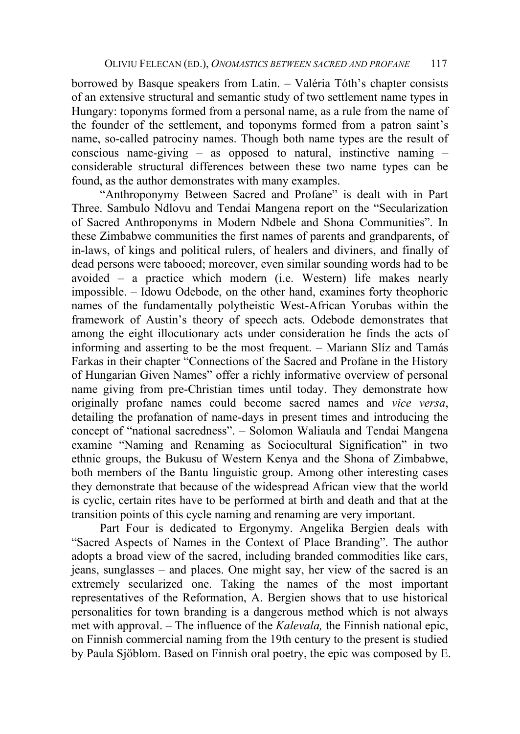borrowed by Basque speakers from Latin. – Valéria Tóth's chapter consists of an extensive structural and semantic study of two settlement name types in Hungary: toponyms formed from a personal name, as a rule from the name of the founder of the settlement, and toponyms formed from a patron saint's name, so-called patrociny names. Though both name types are the result of conscious name-giving  $-$  as opposed to natural, instinctive naming  $$ considerable structural differences between these two name types can be found, as the author demonstrates with many examples.

"Anthroponymy Between Sacred and Profane" is dealt with in Part Three. Sambulo Ndlovu and Tendai Mangena report on the "Secularization of Sacred Anthroponyms in Modern Ndbele and Shona Communities". In these Zimbabwe communities the first names of parents and grandparents, of in-laws, of kings and political rulers, of healers and diviners, and finally of dead persons were tabooed; moreover, even similar sounding words had to be avoided – a practice which modern (i.e. Western) life makes nearly impossible. – Idowu Odebode, on the other hand, examines forty theophoric names of the fundamentally polytheistic West-African Yorubas within the framework of Austin's theory of speech acts. Odebode demonstrates that among the eight illocutionary acts under consideration he finds the acts of informing and asserting to be the most frequent. – Mariann Slíz and Tamás Farkas in their chapter "Connections of the Sacred and Profane in the History of Hungarian Given Names" offer a richly informative overview of personal name giving from pre-Christian times until today. They demonstrate how originally profane names could become sacred names and *vice versa*, detailing the profanation of name-days in present times and introducing the concept of "national sacredness". – Solomon Waliaula and Tendai Mangena examine "Naming and Renaming as Sociocultural Signification" in two ethnic groups, the Bukusu of Western Kenya and the Shona of Zimbabwe, both members of the Bantu linguistic group. Among other interesting cases they demonstrate that because of the widespread African view that the world is cyclic, certain rites have to be performed at birth and death and that at the transition points of this cycle naming and renaming are very important.

Part Four is dedicated to Ergonymy. Angelika Bergien deals with "Sacred Aspects of Names in the Context of Place Branding". The author adopts a broad view of the sacred, including branded commodities like cars, jeans, sunglasses – and places. One might say, her view of the sacred is an extremely secularized one. Taking the names of the most important representatives of the Reformation, A. Bergien shows that to use historical personalities for town branding is a dangerous method which is not always met with approval. – The influence of the *Kalevala,* the Finnish national epic, on Finnish commercial naming from the 19th century to the present is studied by Paula Sjöblom. Based on Finnish oral poetry, the epic was composed by E.